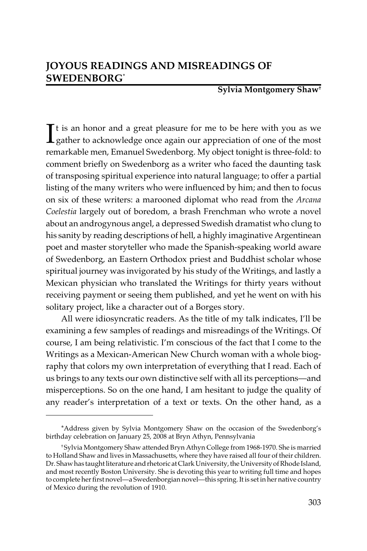**Sylvia Montgomery Shaw†**

 $\int$ t is an honor and a great pleasure for me to be here with you as we gather to acknowledge once again our appreciation of one of the most  $\perp$  gather to acknowledge once again our appreciation of one of the most remarkable men, Emanuel Swedenborg. My object tonight is three-fold: to comment briefly on Swedenborg as a writer who faced the daunting task of transposing spiritual experience into natural language; to offer a partial listing of the many writers who were influenced by him; and then to focus on six of these writers: a marooned diplomat who read from the *Arcana Coelestia* largely out of boredom, a brash Frenchman who wrote a novel about an androgynous angel, a depressed Swedish dramatist who clung to his sanity by reading descriptions of hell, a highly imaginative Argentinean poet and master storyteller who made the Spanish-speaking world aware of Swedenborg, an Eastern Orthodox priest and Buddhist scholar whose spiritual journey was invigorated by his study of the Writings, and lastly a Mexican physician who translated the Writings for thirty years without receiving payment or seeing them published, and yet he went on with his solitary project, like a character out of a Borges story.

All were idiosyncratic readers. As the title of my talk indicates, I'll be examining a few samples of readings and misreadings of the Writings. Of course, I am being relativistic. I'm conscious of the fact that I come to the Writings as a Mexican-American New Church woman with a whole biography that colors my own interpretation of everything that I read. Each of us brings to any texts our own distinctive self with all its perceptions—and misperceptions. So on the one hand, I am hesitant to judge the quality of any reader's interpretation of a text or texts. On the other hand, as a

<sup>\*</sup>Address given by Sylvia Montgomery Shaw on the occasion of the Swedenborg's birthday celebration on January 25, 2008 at Bryn Athyn, Pennsylvania

<sup>†</sup> Sylvia Montgomery Shaw attended Bryn Athyn College from 1968-1970. She is married to Holland Shaw and lives in Massachusetts, where they have raised all four of their children. Dr. Shaw has taught literature and rhetoric at Clark University, the University of Rhode Island, and most recently Boston University. She is devoting this year to writing full time and hopes to complete her first novel—a Swedenborgian novel—this spring. It is set in her native country of Mexico during the revolution of 1910.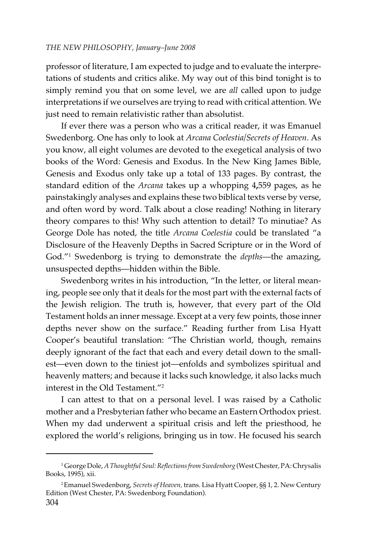professor of literature, I am expected to judge and to evaluate the interpretations of students and critics alike. My way out of this bind tonight is to simply remind you that on some level, we are *all* called upon to judge interpretations if we ourselves are trying to read with critical attention. We just need to remain relativistic rather than absolutist.

If ever there was a person who was a critical reader, it was Emanuel Swedenborg. One has only to look at *Arcana Coelestia/Secrets of Heaven*. As you know, all eight volumes are devoted to the exegetical analysis of two books of the Word: Genesis and Exodus. In the New King James Bible, Genesis and Exodus only take up a total of 133 pages. By contrast, the standard edition of the *Arcana* takes up a whopping 4**,**559 pages, as he painstakingly analyses and explains these two biblical texts verse by verse, and often word by word. Talk about a close reading! Nothing in literary theory compares to this! Why such attention to detail? To minutiae? As George Dole has noted, the title *Arcana Coelestia* could be translated "a Disclosure of the Heavenly Depths in Sacred Scripture or in the Word of God."1 Swedenborg is trying to demonstrate the *depths*—the amazing, unsuspected depths—hidden within the Bible.

Swedenborg writes in his introduction, "In the letter, or literal meaning, people see only that it deals for the most part with the external facts of the Jewish religion. The truth is, however, that every part of the Old Testament holds an inner message. Except at a very few points, those inner depths never show on the surface." Reading further from Lisa Hyatt Cooper's beautiful translation: "The Christian world, though, remains deeply ignorant of the fact that each and every detail down to the smallest—even down to the tiniest jot—enfolds and symbolizes spiritual and heavenly matters; and because it lacks such knowledge, it also lacks much interest in the Old Testament."2

I can attest to that on a personal level. I was raised by a Catholic mother and a Presbyterian father who became an Eastern Orthodox priest. When my dad underwent a spiritual crisis and left the priesthood, he explored the world's religions, bringing us in tow. He focused his search

<sup>1</sup> George Dole, *A Thoughtful Soul: Reflections from Swedenborg* (West Chester, PA: Chrysalis Books, 1995), xii.

<sup>304</sup> 2 Emanuel Swedenborg, *Secrets of Heaven,* trans. Lisa Hyatt Cooper, §§ 1, 2. New Century Edition (West Chester, PA: Swedenborg Foundation).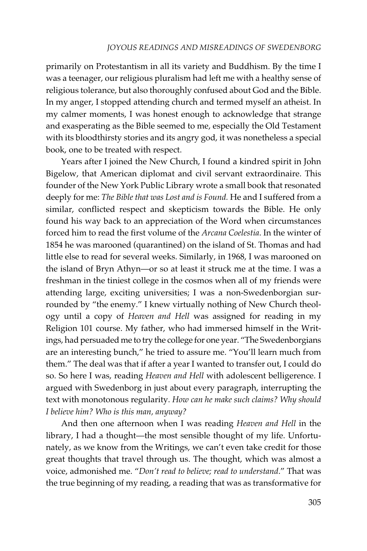primarily on Protestantism in all its variety and Buddhism. By the time I was a teenager, our religious pluralism had left me with a healthy sense of religious tolerance, but also thoroughly confused about God and the Bible. In my anger, I stopped attending church and termed myself an atheist. In my calmer moments, I was honest enough to acknowledge that strange and exasperating as the Bible seemed to me, especially the Old Testament with its bloodthirsty stories and its angry god, it was nonetheless a special book, one to be treated with respect.

Years after I joined the New Church, I found a kindred spirit in John Bigelow, that American diplomat and civil servant extraordinaire. This founder of the New York Public Library wrote a small book that resonated deeply for me: *The Bible that was Lost and is Found.* He and I suffered from a similar, conflicted respect and skepticism towards the Bible. He only found his way back to an appreciation of the Word when circumstances forced him to read the first volume of the *Arcana Coelestia*. In the winter of 1854 he was marooned (quarantined) on the island of St. Thomas and had little else to read for several weeks. Similarly, in 1968, I was marooned on the island of Bryn Athyn—or so at least it struck me at the time. I was a freshman in the tiniest college in the cosmos when all of my friends were attending large, exciting universities; I was a non-Swedenborgian surrounded by "the enemy." I knew virtually nothing of New Church theology until a copy of *Heaven and Hell* was assigned for reading in my Religion 101 course. My father, who had immersed himself in the Writings, had persuaded me to try the college for one year. "The Swedenborgians are an interesting bunch," he tried to assure me. "You'll learn much from them." The deal was that if after a year I wanted to transfer out, I could do so. So here I was, reading *Heaven and Hell* with adolescent belligerence. I argued with Swedenborg in just about every paragraph, interrupting the text with monotonous regularity. *How can he make such claims? Why should I believe him? Who is this man, anyway?*

And then one afternoon when I was reading *Heaven and Hell* in the library, I had a thought—the most sensible thought of my life. Unfortunately, as we know from the Writings, we can't even take credit for those great thoughts that travel through us. The thought, which was almost a voice, admonished me. "*Don't read to believe; read to understand*." That was the true beginning of my reading, a reading that was as transformative for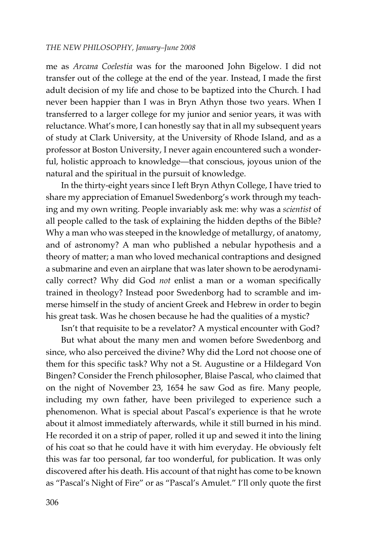me as *Arcana Coelestia* was for the marooned John Bigelow. I did not transfer out of the college at the end of the year. Instead, I made the first adult decision of my life and chose to be baptized into the Church. I had never been happier than I was in Bryn Athyn those two years. When I transferred to a larger college for my junior and senior years, it was with reluctance. What's more, I can honestly say that in all my subsequent years of study at Clark University, at the University of Rhode Island, and as a professor at Boston University, I never again encountered such a wonderful, holistic approach to knowledge—that conscious, joyous union of the natural and the spiritual in the pursuit of knowledge.

In the thirty-eight years since I left Bryn Athyn College, I have tried to share my appreciation of Emanuel Swedenborg's work through my teaching and my own writing. People invariably ask me: why was a *scientist* of all people called to the task of explaining the hidden depths of the Bible? Why a man who was steeped in the knowledge of metallurgy, of anatomy, and of astronomy? A man who published a nebular hypothesis and a theory of matter; a man who loved mechanical contraptions and designed a submarine and even an airplane that was later shown to be aerodynamically correct? Why did God *not* enlist a man or a woman specifically trained in theology? Instead poor Swedenborg had to scramble and immerse himself in the study of ancient Greek and Hebrew in order to begin his great task. Was he chosen because he had the qualities of a mystic?

Isn't that requisite to be a revelator? A mystical encounter with God?

But what about the many men and women before Swedenborg and since, who also perceived the divine? Why did the Lord not choose one of them for this specific task? Why not a St. Augustine or a Hildegard Von Bingen? Consider the French philosopher, Blaise Pascal, who claimed that on the night of November 23, 1654 he saw God as fire. Many people, including my own father, have been privileged to experience such a phenomenon. What is special about Pascal's experience is that he wrote about it almost immediately afterwards, while it still burned in his mind. He recorded it on a strip of paper, rolled it up and sewed it into the lining of his coat so that he could have it with him everyday. He obviously felt this was far too personal, far too wonderful, for publication. It was only discovered after his death. His account of that night has come to be known as "Pascal's Night of Fire" or as "Pascal's Amulet." I'll only quote the first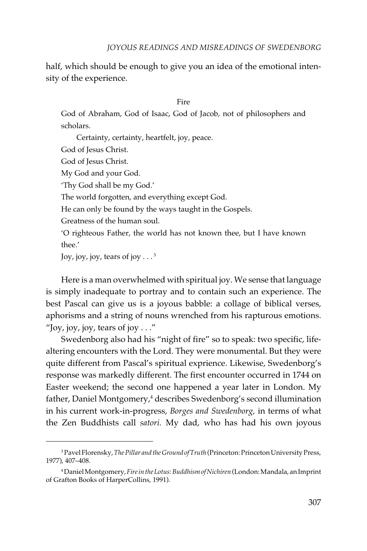half, which should be enough to give you an idea of the emotional intensity of the experience.

#### Fire

God of Abraham, God of Isaac, God of Jacob, not of philosophers and scholars.

Certainty, certainty, heartfelt, joy, peace.

God of Jesus Christ.

God of Jesus Christ.

My God and your God.

'Thy God shall be my God.'

The world forgotten, and everything except God.

He can only be found by the ways taught in the Gospels.

Greatness of the human soul.

'O righteous Father, the world has not known thee, but I have known thee.'

Joy, joy, joy, tears of joy  $\ldots$ <sup>3</sup>

Here is a man overwhelmed with spiritual joy. We sense that language is simply inadequate to portray and to contain such an experience. The best Pascal can give us is a joyous babble: a collage of biblical verses, aphorisms and a string of nouns wrenched from his rapturous emotions. "Joy, joy, joy, tears of joy  $\dots$ "

Swedenborg also had his "night of fire" so to speak: two specific, lifealtering encounters with the Lord. They were monumental. But they were quite different from Pascal's spiritual exprience. Likewise, Swedenborg's response was markedly different. The first encounter occurred in 1744 on Easter weekend; the second one happened a year later in London. My father, Daniel Montgomery,<sup>4</sup> describes Swedenborg's second illumination in his current work-in-progress, *Borges and Swedenborg,* in terms of what the Zen Buddhists call *satori.* My dad, who has had his own joyous

<sup>3</sup> Pavel Florensky, *The Pillar and the Ground of Truth* (Princeton: Princeton University Press, 1977), 407–408.

<sup>4</sup> Daniel Montgomery, *Fire in the Lotus: Buddhism of Nichiren* (London: Mandala, an Imprint of Grafton Books of HarperCollins, 1991).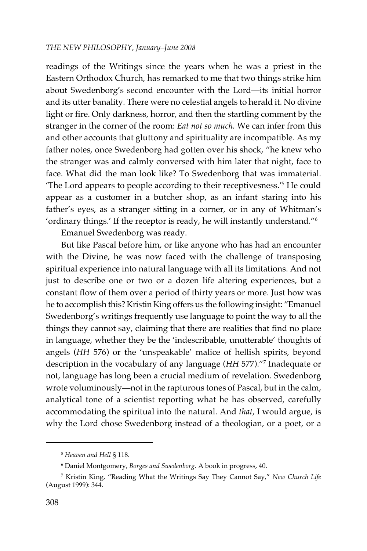readings of the Writings since the years when he was a priest in the Eastern Orthodox Church, has remarked to me that two things strike him about Swedenborg's second encounter with the Lord—its initial horror and its utter banality. There were no celestial angels to herald it. No divine light or fire. Only darkness, horror, and then the startling comment by the stranger in the corner of the room: *Eat not so much.* We can infer from this and other accounts that gluttony and spirituality are incompatible. As my father notes, once Swedenborg had gotten over his shock, "he knew who the stranger was and calmly conversed with him later that night, face to face. What did the man look like? To Swedenborg that was immaterial. 'The Lord appears to people according to their receptivesness.'5 He could appear as a customer in a butcher shop, as an infant staring into his father's eyes, as a stranger sitting in a corner, or in any of Whitman's 'ordinary things.' If the receptor is ready, he will instantly understand."6

Emanuel Swedenborg was ready.

But like Pascal before him, or like anyone who has had an encounter with the Divine, he was now faced with the challenge of transposing spiritual experience into natural language with all its limitations. And not just to describe one or two or a dozen life altering experiences, but a constant flow of them over a period of thirty years or more. Just how was he to accomplish this? Kristin King offers us the following insight: "Emanuel Swedenborg's writings frequently use language to point the way to all the things they cannot say, claiming that there are realities that find no place in language, whether they be the 'indescribable, unutterable' thoughts of angels (*HH* 576) or the 'unspeakable' malice of hellish spirits, beyond description in the vocabulary of any language (*HH* 577)."7 Inadequate or not, language has long been a crucial medium of revelation. Swedenborg wrote voluminously—not in the rapturous tones of Pascal, but in the calm, analytical tone of a scientist reporting what he has observed, carefully accommodating the spiritual into the natural. And *that*, I would argue, is why the Lord chose Swedenborg instead of a theologian, or a poet, or a

<sup>5</sup> *Heaven and Hell* § 118.

<sup>6</sup> Daniel Montgomery, *Borges and Swedenborg.* A book in progress, 40.

<sup>7</sup> Kristin King, "Reading What the Writings Say They Cannot Say," *New Church Life* (August 1999): 344.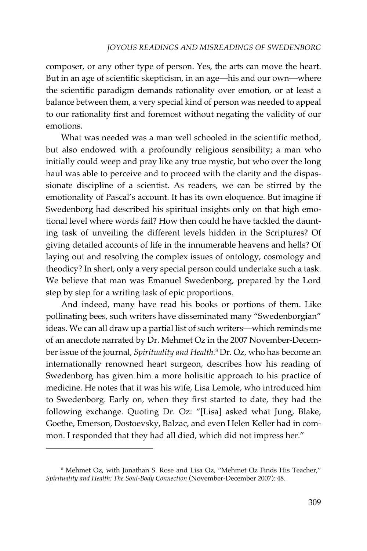composer, or any other type of person. Yes, the arts can move the heart. But in an age of scientific skepticism, in an age—his and our own—where the scientific paradigm demands rationality over emotion, or at least a balance between them, a very special kind of person was needed to appeal to our rationality first and foremost without negating the validity of our emotions.

What was needed was a man well schooled in the scientific method, but also endowed with a profoundly religious sensibility; a man who initially could weep and pray like any true mystic, but who over the long haul was able to perceive and to proceed with the clarity and the dispassionate discipline of a scientist. As readers, we can be stirred by the emotionality of Pascal's account. It has its own eloquence. But imagine if Swedenborg had described his spiritual insights only on that high emotional level where words fail? How then could he have tackled the daunting task of unveiling the different levels hidden in the Scriptures? Of giving detailed accounts of life in the innumerable heavens and hells? Of laying out and resolving the complex issues of ontology, cosmology and theodicy? In short, only a very special person could undertake such a task. We believe that man was Emanuel Swedenborg, prepared by the Lord step by step for a writing task of epic proportions.

And indeed, many have read his books or portions of them. Like pollinating bees, such writers have disseminated many "Swedenborgian" ideas. We can all draw up a partial list of such writers—which reminds me of an anecdote narrated by Dr. Mehmet Oz in the 2007 November-December issue of the journal, *Spirituality and Health.*<sup>8</sup> Dr*.* Oz*,* who has become an internationally renowned heart surgeon*,* describes how his reading of Swedenborg has given him a more holisitic approach to his practice of medicine. He notes that it was his wife, Lisa Lemole, who introduced him to Swedenborg. Early on, when they first started to date, they had the following exchange. Quoting Dr. Oz: "[Lisa] asked what Jung, Blake, Goethe, Emerson, Dostoevsky, Balzac, and even Helen Keller had in common. I responded that they had all died, which did not impress her."

 $^{\rm 8}$  Mehmet Oz, with Jonathan S. Rose and Lisa Oz, "Mehmet Oz Finds His Teacher," *Spirituality and Health: The Soul-Body Connection* (November-December 2007): 48.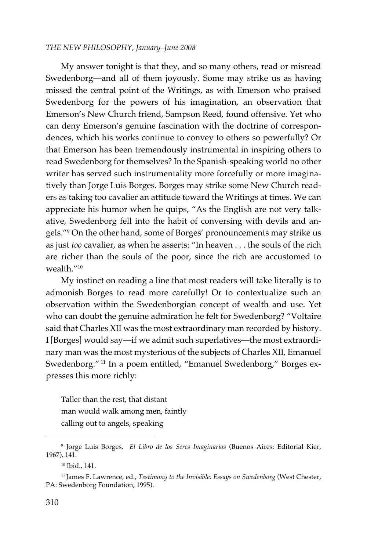My answer tonight is that they, and so many others, read or misread Swedenborg—and all of them joyously. Some may strike us as having missed the central point of the Writings, as with Emerson who praised Swedenborg for the powers of his imagination, an observation that Emerson's New Church friend, Sampson Reed, found offensive. Yet who can deny Emerson's genuine fascination with the doctrine of correspondences, which his works continue to convey to others so powerfully? Or that Emerson has been tremendously instrumental in inspiring others to read Swedenborg for themselves? In the Spanish-speaking world no other writer has served such instrumentality more forcefully or more imaginatively than Jorge Luis Borges. Borges may strike some New Church readers as taking too cavalier an attitude toward the Writings at times. We can appreciate his humor when he quips, "As the English are not very talkative, Swedenborg fell into the habit of conversing with devils and angels."9 On the other hand, some of Borges' pronouncements may strike us as just *too* cavalier, as when he asserts: "In heaven . . . the souls of the rich are richer than the souls of the poor, since the rich are accustomed to wealth."10

My instinct on reading a line that most readers will take literally is to admonish Borges to read more carefully! Or to contextualize such an observation within the Swedenborgian concept of wealth and use. Yet who can doubt the genuine admiration he felt for Swedenborg? "Voltaire said that Charles XII was the most extraordinary man recorded by history. I [Borges] would say—if we admit such superlatives—the most extraordinary man was the most mysterious of the subjects of Charles XII, Emanuel Swedenborg." 11 In a poem entitled, "Emanuel Swedenborg," Borges expresses this more richly:

Taller than the rest, that distant man would walk among men, faintly calling out to angels, speaking

<sup>9</sup> Jorge Luis Borges, *El Libro de los Seres Imaginarios* (Buenos Aires: Editorial Kier, 1967), 141.

<sup>10</sup> Ibid., 141.

<sup>11</sup> James F. Lawrence, ed., *Testimony to the Invisible: Essays on Swedenborg* (West Chester, PA: Swedenborg Foundation, 1995).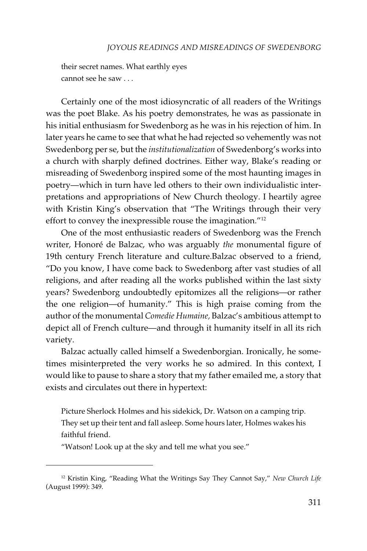their secret names. What earthly eyes cannot see he saw . . .

Certainly one of the most idiosyncratic of all readers of the Writings was the poet Blake. As his poetry demonstrates, he was as passionate in his initial enthusiasm for Swedenborg as he was in his rejection of him. In later years he came to see that what he had rejected so vehemently was not Swedenborg per se, but the *institutionalization* of Swedenborg's works into a church with sharply defined doctrines. Either way, Blake's reading or misreading of Swedenborg inspired some of the most haunting images in poetry—which in turn have led others to their own individualistic interpretations and appropriations of New Church theology. I heartily agree with Kristin King's observation that "The Writings through their very effort to convey the inexpressible rouse the imagination."12

One of the most enthusiastic readers of Swedenborg was the French writer, Honoré de Balzac, who was arguably *the* monumental figure of 19th century French literature and culture.Balzac observed to a friend, "Do you know, I have come back to Swedenborg after vast studies of all religions, and after reading all the works published within the last sixty years? Swedenborg undoubtedly epitomizes all the religions—or rather the one religion—of humanity." This is high praise coming from the author of the monumental *Comedie Humaine,* Balzac's ambitious attempt to depict all of French culture—and through it humanity itself in all its rich variety.

Balzac actually called himself a Swedenborgian. Ironically, he sometimes misinterpreted the very works he so admired*.* In this context, I would like to pause to share a story that my father emailed me, a story that exists and circulates out there in hypertext:

Picture Sherlock Holmes and his sidekick, Dr. Watson on a camping trip. They set up their tent and fall asleep. Some hours later, Holmes wakes his faithful friend.

"Watson! Look up at the sky and tell me what you see."

<sup>12</sup> Kristin King, "Reading What the Writings Say They Cannot Say," *New Church Life* (August 1999): 349.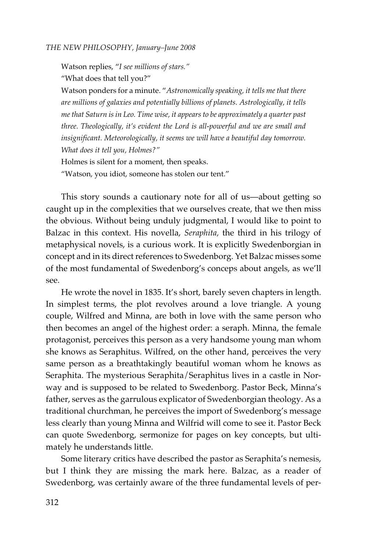Watson replies, "*I see millions of stars."* "What does that tell you?"

Watson ponders for a minute. "*Astronomically speaking, it tells me that there are millions of galaxies and potentially billions of planets. Astrologically, it tells me that Saturn is in Leo. Time wise, it appears to be approximately a quarter past three. Theologically, it's evident the Lord is all-powerful and we are small and insignificant. Meteorologically, it seems we will have a beautiful day tomorrow. What does it tell you, Holmes?"* Holmes is silent for a moment, then speaks. "Watson, you idiot, someone has stolen our tent."

This story sounds a cautionary note for all of us—about getting so caught up in the complexities that we ourselves create, that we then miss the obvious. Without being unduly judgmental, I would like to point to Balzac in this context. His novella, *Seraphita,* the third in his trilogy of metaphysical novels, is a curious work. It is explicitly Swedenborgian in concept and in its direct references to Swedenborg. Yet Balzac misses some of the most fundamental of Swedenborg's conceps about angels, as we'll see.

He wrote the novel in 1835. It's short, barely seven chapters in length. In simplest terms, the plot revolves around a love triangle. A young couple, Wilfred and Minna, are both in love with the same person who then becomes an angel of the highest order: a seraph. Minna, the female protagonist, perceives this person as a very handsome young man whom she knows as Seraphitus. Wilfred, on the other hand, perceives the very same person as a breathtakingly beautiful woman whom he knows as Seraphita. The mysterious Seraphita/Seraphitus lives in a castle in Norway and is supposed to be related to Swedenborg. Pastor Beck, Minna's father, serves as the garrulous explicator of Swedenborgian theology. As a traditional churchman, he perceives the import of Swedenborg's message less clearly than young Minna and Wilfrid will come to see it. Pastor Beck can quote Swedenborg, sermonize for pages on key concepts, but ultimately he understands little.

Some literary critics have described the pastor as Seraphita's nemesis, but I think they are missing the mark here. Balzac, as a reader of Swedenborg, was certainly aware of the three fundamental levels of per-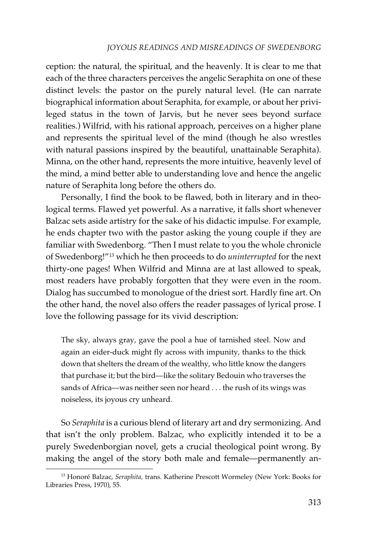# *JOYOUS READINGS AND MISREADINGS OF SWEDENBORG*

ception: the natural, the spiritual, and the heavenly. It is clear to me that each of the three characters perceives the angelic Seraphita on one of these distinct levels: the pastor on the purely natural level. (He can narrate biographical information about Seraphita, for example, or about her privileged status in the town of Jarvis, but he never sees beyond surface realities.) Wilfrid, with his rational approach, perceives on a higher plane and represents the spiritual level of the mind (though he also wrestles with natural passions inspired by the beautiful, unattainable Seraphita). Minna, on the other hand, represents the more intuitive, heavenly level of the mind, a mind better able to understanding love and hence the angelic nature of Seraphita long before the others do.

Personally, I find the book to be flawed, both in literary and in theological terms. Flawed yet powerful. As a narrative, it falls short whenever Balzac sets aside artistry for the sake of his didactic impulse. For example, he ends chapter two with the pastor asking the young couple if they are familiar with Swedenborg. "Then I must relate to you the whole chronicle of Swedenborg!"13 which he then proceeds to do *uninterrupted* for the next thirty-one pages! When Wilfrid and Minna are at last allowed to speak, most readers have probably forgotten that they were even in the room. Dialog has succumbed to monologue of the driest sort. Hardly fine art. On the other hand, the novel also offers the reader passages of lyrical prose. I love the following passage for its vivid description:

The sky, always gray, gave the pool a hue of tarnished steel. Now and again an eider-duck might fly across with impunity, thanks to the thick down that shelters the dream of the wealthy, who little know the dangers that purchase it; but the bird—like the solitary Bedouin who traverses the sands of Africa—was neither seen nor heard . . . the rush of its wings was noiseless, its joyous cry unheard.

So *Seraphita* is a curious blend of literary art and dry sermonizing. And that isn't the only problem. Balzac, who explicitly intended it to be a purely Swedenborgian novel, gets a crucial theological point wrong. By making the angel of the story both male and female—permanently an-

<sup>13</sup> Honoré Balzac, *Seraphita,* trans. Katherine Prescott Wormeley (New York: Books for Libraries Press, 1970), 55.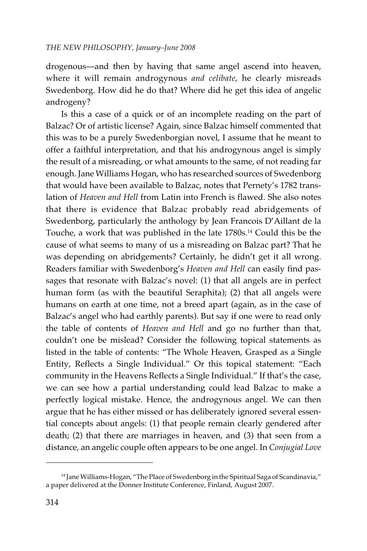drogenous—and then by having that same angel ascend into heaven, where it will remain androgynous *and celibate*, he clearly misreads Swedenborg. How did he do that? Where did he get this idea of angelic androgeny?

Is this a case of a quick or of an incomplete reading on the part of Balzac? Or of artistic license? Again, since Balzac himself commented that this was to be a purely Swedenborgian novel, I assume that he meant to offer a faithful interpretation, and that his androgynous angel is simply the result of a misreading, or what amounts to the same, of not reading far enough. Jane Williams Hogan, who has researched sources of Swedenborg that would have been available to Balzac, notes that Pernety's 1782 translation of *Heaven and Hell* from Latin into French is flawed. She also notes that there is evidence that Balzac probably read abridgements of Swedenborg, particularly the anthology by Jean Francois D'Aillant de la Touche, a work that was published in the late 1780s.14 Could this be the cause of what seems to many of us a misreading on Balzac part? That he was depending on abridgements? Certainly, he didn't get it all wrong. Readers familiar with Swedenborg's *Heaven and Hell* can easily find passages that resonate with Balzac's novel: (1) that all angels are in perfect human form (as with the beautiful Seraphita); (2) that all angels were humans on earth at one time, not a breed apart (again, as in the case of Balzac's angel who had earthly parents). But say if one were to read only the table of contents of *Heaven and Hell* and go no further than that, couldn't one be mislead? Consider the following topical statements as listed in the table of contents: "The Whole Heaven, Grasped as a Single Entity, Reflects a Single Individual." Or this topical statement: "Each community in the Heavens Reflects a Single Individual." If that's the case, we can see how a partial understanding could lead Balzac to make a perfectly logical mistake. Hence, the androgynous angel. We can then argue that he has either missed or has deliberately ignored several essential concepts about angels: (1) that people remain clearly gendered after death; (2) that there are marriages in heaven, and (3) that seen from a distance, an angelic couple often appears to be one angel. In *Conjugial Love*

<sup>&</sup>lt;sup>14</sup> Jane Williams-Hogan, "The Place of Swedenborg in the Spiritual Saga of Scandinavia," a paper delivered at the Donner Institute Conference, Finland, August 2007.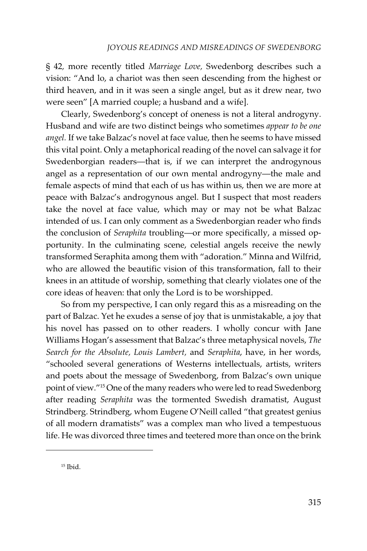§ 42*,* more recently titled *Marriage Love,* Swedenborg describes such a vision: "And lo, a chariot was then seen descending from the highest or third heaven, and in it was seen a single angel, but as it drew near, two were seen" [A married couple; a husband and a wife].

Clearly, Swedenborg's concept of oneness is not a literal androgyny. Husband and wife are two distinct beings who sometimes *appear to be one angel.* If we take Balzac's novel at face value, then he seems to have missed this vital point. Only a metaphorical reading of the novel can salvage it for Swedenborgian readers—that is, if we can interpret the androgynous angel as a representation of our own mental androgyny—the male and female aspects of mind that each of us has within us, then we are more at peace with Balzac's androgynous angel. But I suspect that most readers take the novel at face value, which may or may not be what Balzac intended of us. I can only comment as a Swedenborgian reader who finds the conclusion of *Seraphita* troubling—or more specifically, a missed opportunity. In the culminating scene, celestial angels receive the newly transformed Seraphita among them with "adoration." Minna and Wilfrid, who are allowed the beautific vision of this transformation, fall to their knees in an attitude of worship, something that clearly violates one of the core ideas of heaven: that only the Lord is to be worshipped.

So from my perspective, I can only regard this as a misreading on the part of Balzac. Yet he exudes a sense of joy that is unmistakable, a joy that his novel has passed on to other readers. I wholly concur with Jane Williams Hogan's assessment that Balzac's three metaphysical novels, *The Search for the Absolute, Louis Lambert,* and *Seraphita*, have, in her words, "schooled several generations of Westerns intellectuals, artists, writers and poets about the message of Swedenborg, from Balzac's own unique point of view."15 One of the many readers who were led to read Swedenborg after reading *Seraphita* was the tormented Swedish dramatist, August Strindberg. Strindberg, whom Eugene O'Neill called "that greatest genius of all modern dramatists" was a complex man who lived a tempestuous life. He was divorced three times and teetered more than once on the brink

<sup>15</sup> Ibid.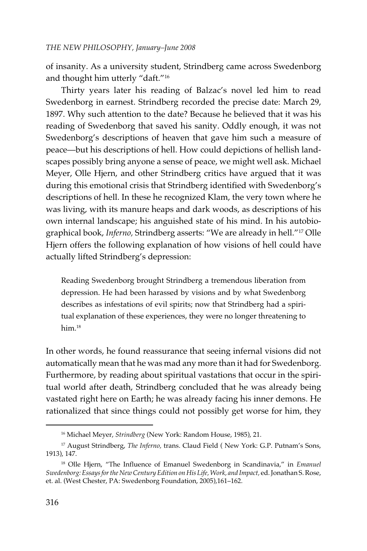of insanity. As a university student, Strindberg came across Swedenborg and thought him utterly "daft."16

Thirty years later his reading of Balzac's novel led him to read Swedenborg in earnest. Strindberg recorded the precise date: March 29, 1897. Why such attention to the date? Because he believed that it was his reading of Swedenborg that saved his sanity. Oddly enough, it was not Swedenborg's descriptions of heaven that gave him such a measure of peace—but his descriptions of hell. How could depictions of hellish landscapes possibly bring anyone a sense of peace, we might well ask. Michael Meyer, Olle Hjern, and other Strindberg critics have argued that it was during this emotional crisis that Strindberg identified with Swedenborg's descriptions of hell. In these he recognized Klam, the very town where he was living, with its manure heaps and dark woods, as descriptions of his own internal landscape; his anguished state of his mind. In his autobiographical book, *Inferno,* Strindberg asserts: "We are already in hell."17 Olle Hjern offers the following explanation of how visions of hell could have actually lifted Strindberg's depression:

Reading Swedenborg brought Strindberg a tremendous liberation from depression. He had been harassed by visions and by what Swedenborg describes as infestations of evil spirits; now that Strindberg had a spiritual explanation of these experiences, they were no longer threatening to him.<sup>18</sup>

In other words, he found reassurance that seeing infernal visions did not automatically mean that he was mad any more than it had for Swedenborg. Furthermore, by reading about spiritual vastations that occur in the spiritual world after death, Strindberg concluded that he was already being vastated right here on Earth; he was already facing his inner demons. He rationalized that since things could not possibly get worse for him, they

<sup>16</sup> Michael Meyer, *Strindberg* (New York: Random House, 1985), 21.

<sup>&</sup>lt;sup>17</sup> August Strindberg, *The Inferno*, trans. Claud Field (New York: G.P. Putnam's Sons, 1913), 147.

<sup>18</sup> Olle Hjern, "The Influence of Emanuel Swedenborg in Scandinavia," in *Emanuel Swedenborg: Essays for the New Century Edition on His Life, Work, and Impact,* ed. Jonathan S. Rose, et. al. (West Chester, PA: Swedenborg Foundation, 2005),161–162.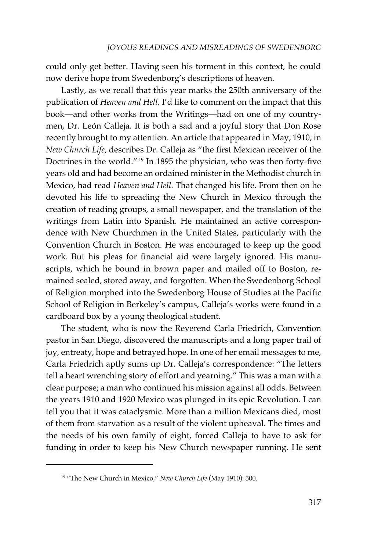could only get better. Having seen his torment in this context, he could now derive hope from Swedenborg's descriptions of heaven.

Lastly, as we recall that this year marks the 250th anniversary of the publication of *Heaven and Hell,* I'd like to comment on the impact that this book—and other works from the Writings—had on one of my countrymen, Dr. León Calleja. It is both a sad and a joyful story that Don Rose recently brought to my attention. An article that appeared in May, 1910, in *New Church Life,* describes Dr. Calleja as "the first Mexican receiver of the Doctrines in the world." 19 In 1895 the physician, who was then forty-five years old and had become an ordained minister in the Methodist church in Mexico, had read *Heaven and Hell.* That changed his life. From then on he devoted his life to spreading the New Church in Mexico through the creation of reading groups, a small newspaper, and the translation of the writings from Latin into Spanish. He maintained an active correspondence with New Churchmen in the United States, particularly with the Convention Church in Boston. He was encouraged to keep up the good work. But his pleas for financial aid were largely ignored. His manuscripts, which he bound in brown paper and mailed off to Boston, remained sealed, stored away, and forgotten. When the Swedenborg School of Religion morphed into the Swedenborg House of Studies at the Pacific School of Religion in Berkeley's campus, Calleja's works were found in a cardboard box by a young theological student.

The student, who is now the Reverend Carla Friedrich, Convention pastor in San Diego, discovered the manuscripts and a long paper trail of joy, entreaty, hope and betrayed hope. In one of her email messages to me, Carla Friedrich aptly sums up Dr. Calleja's correspondence: "The letters tell a heart wrenching story of effort and yearning." This was a man with a clear purpose; a man who continued his mission against all odds. Between the years 1910 and 1920 Mexico was plunged in its epic Revolution. I can tell you that it was cataclysmic. More than a million Mexicans died, most of them from starvation as a result of the violent upheaval. The times and the needs of his own family of eight, forced Calleja to have to ask for funding in order to keep his New Church newspaper running. He sent

<sup>19 &</sup>quot;The New Church in Mexico," *New Church Life* (May 1910): 300.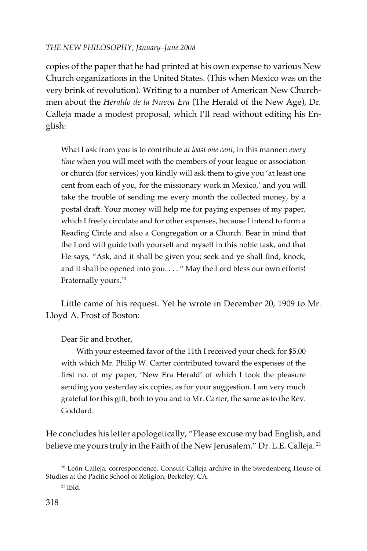copies of the paper that he had printed at his own expense to various New Church organizations in the United States. (This when Mexico was on the very brink of revolution). Writing to a number of American New Churchmen about the *Heraldo de la Nueva Era* (The Herald of the New Age), Dr*.* Calleja made a modest proposal, which I'll read without editing his English:

What I ask from you is to contribute *at least one cent,* in this manner: *every time* when you will meet with the members of your league or association or church (for services) you kindly will ask them to give you 'at least one cent from each of you, for the missionary work in Mexico,' and you will take the trouble of sending me every month the collected money, by a postal draft. Your money will help me for paying expenses of my paper, which I freely circulate and for other expenses, because I intend to form a Reading Circle and also a Congregation or a Church. Bear in mind that the Lord will guide both yourself and myself in this noble task, and that He says, "Ask, and it shall be given you; seek and ye shall find, knock, and it shall be opened into you. . . . " May the Lord bless our own efforts! Fraternally yours.<sup>20</sup>

Little came of his request. Yet he wrote in December 20, 1909 to Mr. Lloyd A. Frost of Boston:

Dear Sir and brother,

With your esteemed favor of the 11th I received your check for \$5.00 with which Mr. Philip W. Carter contributed toward the expenses of the first no. of my paper, 'New Era Herald' of which I took the pleasure sending you yesterday six copies, as for your suggestion. I am very much grateful for this gift, both to you and to Mr. Carter, the same as to the Rev. Goddard.

He concludes his letter apologetically, "Please excuse my bad English, and believe me yours truly in the Faith of the New Jerusalem." Dr. L.E. Calleja.<sup>21</sup>

<sup>&</sup>lt;sup>20</sup> León Calleja, correspondence. Consult Calleja archive in the Swedenborg House of Studies at the Pacific School of Religion, Berkeley, CA.

 $21$  Ibid.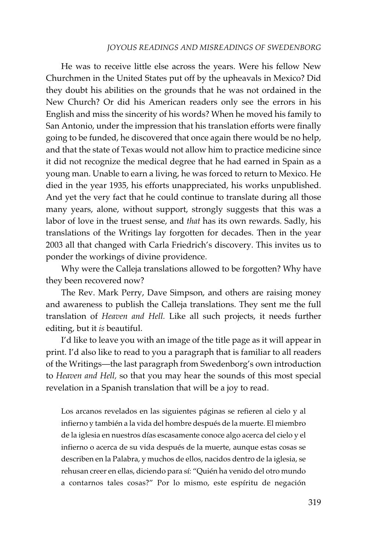### *JOYOUS READINGS AND MISREADINGS OF SWEDENBORG*

He was to receive little else across the years. Were his fellow New Churchmen in the United States put off by the upheavals in Mexico? Did they doubt his abilities on the grounds that he was not ordained in the New Church? Or did his American readers only see the errors in his English and miss the sincerity of his words? When he moved his family to San Antonio, under the impression that his translation efforts were finally going to be funded, he discovered that once again there would be no help, and that the state of Texas would not allow him to practice medicine since it did not recognize the medical degree that he had earned in Spain as a young man. Unable to earn a living, he was forced to return to Mexico. He died in the year 1935, his efforts unappreciated, his works unpublished. And yet the very fact that he could continue to translate during all those many years, alone, without support, strongly suggests that this was a labor of love in the truest sense, and *that* has its own rewards. Sadly, his translations of the Writings lay forgotten for decades. Then in the year 2003 all that changed with Carla Friedrich's discovery. This invites us to ponder the workings of divine providence.

Why were the Calleja translations allowed to be forgotten? Why have they been recovered now?

The Rev. Mark Perry, Dave Simpson, and others are raising money and awareness to publish the Calleja translations. They sent me the full translation of *Heaven and Hell.* Like all such projects, it needs further editing, but it *is* beautiful.

I'd like to leave you with an image of the title page as it will appear in print. I'd also like to read to you a paragraph that is familiar to all readers of the Writings—the last paragraph from Swedenborg's own introduction to *Heaven and Hell,* so that you may hear the sounds of this most special revelation in a Spanish translation that will be a joy to read.

Los arcanos revelados en las siguientes páginas se refieren al cielo y al infierno y también a la vida del hombre después de la muerte. El miembro de la iglesia en nuestros días escasamente conoce algo acerca del cielo y el infierno o acerca de su vida después de la muerte, aunque estas cosas se describen en la Palabra, y muchos de ellos, nacidos dentro de la iglesia, se rehusan creer en ellas, diciendo para sí: "Quién ha venido del otro mundo a contarnos tales cosas?" Por lo mismo, este espíritu de negación